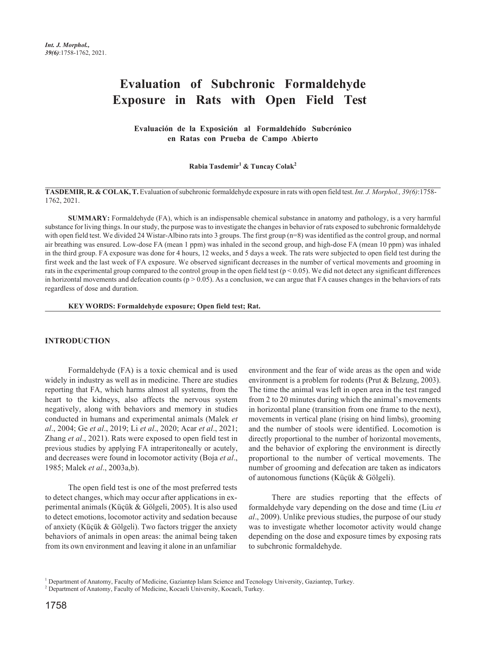# **Evaluation of Subchronic Formaldehyde Exposure in Rats with Open Field Test**

**Evaluación de la Exposición al Formaldehído Subcrónico en Ratas con Prueba de Campo Abierto**

**Rabia Tasdemir1 & Tuncay Colak<sup>2</sup>**

**TASDEMIR, R. & COLAK,T.** Evaluation ofsubchronic formaldehyde exposure in rats with open field test.*Int. J. Morphol., 39(6)*:1758- 1762, 2021.

**SUMMARY:** Formaldehyde (FA), which is an indispensable chemical substance in anatomy and pathology, is a very harmful substance for living things. In our study, the purpose was to investigate the changes in behavior of rats exposed to subchronic formaldehyde with open field test. We divided 24 Wistar-Albino rats into 3 groups. The first group (n=8) was identified as the control group, and normal air breathing was ensured. Low-dose FA (mean 1 ppm) was inhaled in the second group, and high-dose FA (mean 10 ppm) was inhaled in the third group. FA exposure was done for 4 hours, 12 weeks, and 5 days a week. The rats were subjected to open field test during the first week and the last week of FA exposure. We observed significant decreases in the number of vertical movements and grooming in rats in the experimental group compared to the control group in the open field test ( $p < 0.05$ ). We did not detect any significant differences in horizontal movements and defecation counts ( $p > 0.05$ ). As a conclusion, we can argue that FA causes changes in the behaviors of rats regardless of dose and duration.

**KEY WORDS: Formaldehyde exposure; Open field test; Rat.**

#### **INTRODUCTION**

Formaldehyde (FA) is a toxic chemical and is used widely in industry as well as in medicine. There are studies reporting that FA, which harms almost all systems, from the heart to the kidneys, also affects the nervous system negatively, along with behaviors and memory in studies conducted in humans and experimental animals (Malek *et al*., 2004; Ge *et al*., 2019; Li *et al*., 2020; Acar *et al*., 2021; Zhang *et al*., 2021). Rats were exposed to open field test in previous studies by applying FA intraperitoneally or acutely, and decreases were found in locomotor activity (Boja *et al*., 1985; Malek *et al*., 2003a,b).

The open field test is one of the most preferred tests to detect changes, which may occur after applications in experimental animals (Küçük & Gölgeli, 2005). It is also used to detect emotions, locomotor activity and sedation because of anxiety (Küçük & Gölgeli). Two factors trigger the anxiety behaviors of animals in open areas: the animal being taken from its own environment and leaving it alone in an unfamiliar

environment and the fear of wide areas as the open and wide environment is a problem for rodents (Prut & Belzung, 2003). The time the animal was left in open area in the test ranged from 2 to 20 minutes during which the animal's movements in horizontal plane (transition from one frame to the next), movements in vertical plane (rising on hind limbs), grooming and the number of stools were identified. Locomotion is directly proportional to the number of horizontal movements, and the behavior of exploring the environment is directly proportional to the number of vertical movements. The number of grooming and defecation are taken as indicators of autonomous functions (Küçük & Gölgeli).

There are studies reporting that the effects of formaldehyde vary depending on the dose and time (Liu *et al*., 2009). Unlike previous studies, the purpose of our study was to investigate whether locomotor activity would change depending on the dose and exposure times by exposing rats to subchronic formaldehyde.

<sup>1</sup> Department of Anatomy, Faculty of Medicine, Gaziantep Islam Science and Tecnology University, Gaziantep, Turkey.

<sup>&</sup>lt;sup>2</sup> Department of Anatomy, Faculty of Medicine, Kocaeli University, Kocaeli, Turkey.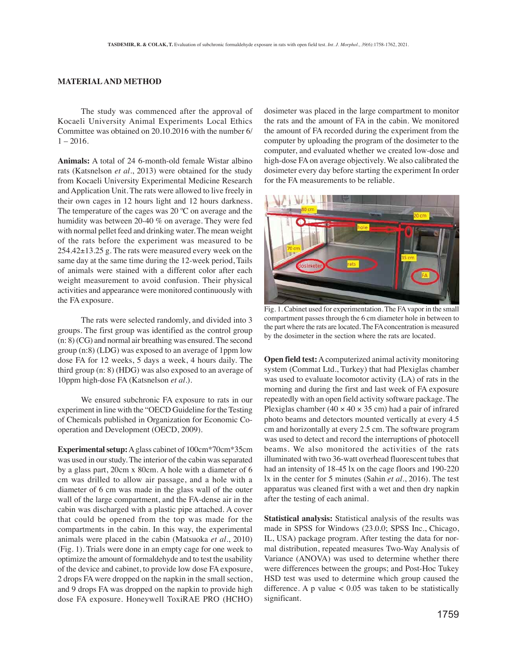### **MATERIAL AND METHOD**

The study was commenced after the approval of Kocaeli University Animal Experiments Local Ethics Committee was obtained on 20.10.2016 with the number 6/  $1 - 2016$ 

**Animals:** A total of 24 6-month-old female Wistar albino rats (Katsnelson *et al*., 2013) were obtained for the study from Kocaeli University Experimental Medicine Research and Application Unit. The rats were allowed to live freely in their own cages in 12 hours light and 12 hours darkness. The temperature of the cages was  $20^{\circ}$ C on average and the humidity was between 20-40 % on average. They were fed with normal pellet feed and drinking water. The mean weight of the rats before the experiment was measured to be  $254.42 \pm 13.25$  g. The rats were measured every week on the same day at the same time during the 12-week period, Tails of animals were stained with a different color after each weight measurement to avoid confusion. Their physical activities and appearance were monitored continuously with the FA exposure.

The rats were selected randomly, and divided into 3 groups. The first group was identified as the control group (n: 8) (CG) and normal air breathing was ensured. The second group (n:8) (LDG) was exposed to an average of 1ppm low dose FA for 12 weeks, 5 days a week, 4 hours daily. The third group (n: 8) (HDG) was also exposed to an average of 10ppm high-dose FA (Katsnelson *et al*.).

We ensured subchronic FA exposure to rats in our experiment in line with the "OECD Guideline for the Testing of Chemicals published in Organization for Economic Cooperation and Development (OECD, 2009).

**Experimental setup:** A glass cabinet of 100cm\*70cm\*35cm was used in our study. The interior of the cabin was separated by a glass part, 20cm x 80cm. A hole with a diameter of 6 cm was drilled to allow air passage, and a hole with a diameter of 6 cm was made in the glass wall of the outer wall of the large compartment, and the FA-dense air in the cabin was discharged with a plastic pipe attached. A cover that could be opened from the top was made for the compartments in the cabin. In this way, the experimental animals were placed in the cabin (Matsuoka *et al*., 2010) (Fig. 1). Trials were done in an empty cage for one week to optimize the amount of formaldehyde and to test the usability of the device and cabinet, to provide low dose FA exposure, 2 drops FA were dropped on the napkin in the small section, and 9 drops FA was dropped on the napkin to provide high dose FA exposure. Honeywell ToxiRAE PRO (HCHO) dosimeter was placed in the large compartment to monitor the rats and the amount of FA in the cabin. We monitored the amount of FA recorded during the experiment from the computer by uploading the program of the dosimeter to the computer, and evaluated whether we created low-dose and high-dose FA on average objectively. We also calibrated the dosimeter every day before starting the experiment In order for the FA measurements to be reliable.



Fig. 1. Cabinet used for experimentation. The FA vapor in the small compartment passes through the 6 cm diameter hole in between to the part where the rats are located. The FA concentration is measured by the dosimeter in the section where the rats are located.

**Open field test:** A computerized animal activity monitoring system (Commat Ltd., Turkey) that had Plexiglas chamber was used to evaluate locomotor activity (LA) of rats in the morning and during the first and last week of FA exposure repeatedly with an open field activity software package. The Plexiglas chamber (40  $\times$  40  $\times$  35 cm) had a pair of infrared photo beams and detectors mounted vertically at every 4.5 cm and horizontally at every 2.5 cm. The software program was used to detect and record the interruptions of photocell beams. We also monitored the activities of the rats illuminated with two 36-watt overhead fluorescent tubes that had an intensity of 18-45 lx on the cage floors and 190-220 lx in the center for 5 minutes (Sahin *et al*., 2016). The test apparatus was cleaned first with a wet and then dry napkin after the testing of each animal.

**Statistical analysis:** Statistical analysis of the results was made in SPSS for Windows (23.0.0; SPSS Inc., Chicago, IL, USA) package program. After testing the data for normal distribution, repeated measures Two-Way Analysis of Variance (ANOVA) was used to determine whether there were differences between the groups; and Post-Hoc Tukey HSD test was used to determine which group caused the difference. A p value  $< 0.05$  was taken to be statistically significant.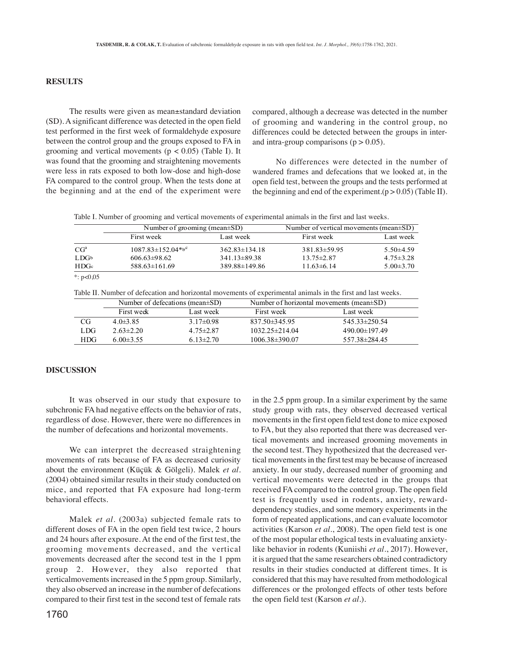## **RESULTS**

The results were given as mean±standard deviation (SD). A significant difference was detected in the open field test performed in the first week of formaldehyde exposure between the control group and the groups exposed to FA in grooming and vertical movements ( $p < 0.05$ ) (Table I). It was found that the grooming and straightening movements were less in rats exposed to both low-dose and high-dose FA compared to the control group. When the tests done at the beginning and at the end of the experiment were

compared, although a decrease was detected in the number of grooming and wandering in the control group, no differences could be detected between the groups in interand intra-group comparisons  $(p > 0.05)$ .

No differences were detected in the number of wandered frames and defecations that we looked at, in the open field test, between the groups and the tests performed at the beginning and end of the experiment.( $p > 0.05$ ) (Table II).

| Table I. Number of grooming and vertical movements of experimental animals in the first and last weeks. |  |  |  |  |
|---------------------------------------------------------------------------------------------------------|--|--|--|--|
|                                                                                                         |  |  |  |  |

|                  | Number of grooming (mean $\pm SD$ ) |                     | Number of vertical movements (mean $\pm SD$ ) |                 |  |
|------------------|-------------------------------------|---------------------|-----------------------------------------------|-----------------|--|
|                  | First week                          | Last week           | First week                                    | Last week       |  |
| CG <sup>a</sup>  | $1087.83 \pm 152.04*{b}^{c}$        | $362.83 \pm 134.18$ | $381.83 \pm 59.95$                            | $5.50\pm4.59$   |  |
| LDG <sub>b</sub> | $606.63 \pm 98.62$                  | $341.13 \pm 89.38$  | $13.75 \pm 2.87$                              | $4.75 \pm 3.28$ |  |
| HDGe             | $588.63 \pm 161.69$                 | 389.88±149.86       | $11.63\pm 6.14$                               | $5.00 \pm 3.70$ |  |
| *: $p<0.05$      |                                     |                     |                                               |                 |  |

Table II. Number of defecation and horizontal movements of experimental animals in the first and last weeks.

|      |                 | Number of defecations (mean $\pm SD$ ) |                      | Number of horizontal movements (mean $\pm SD$ ) |
|------|-----------------|----------------------------------------|----------------------|-------------------------------------------------|
|      | First week      | Last week                              | First week           | Last week                                       |
| CG   | $4.0\pm3.85$    | $3.17\pm0.98$                          | 837.50 $\pm$ 345.95  | $545.33 \pm 250.54$                             |
| LDG  | $2.63\pm2.20$   | $4.75 \pm 2.87$                        | $1032.25 \pm 214.04$ | $490.00 \pm 197.49$                             |
| HDG. | $6.00 \pm 3.55$ | $6.13 \pm 2.70$                        | $1006.38 \pm 390.07$ | 557.38±284.45                                   |

#### **DISCUSSION**

It was observed in our study that exposure to subchronic FA had negative effects on the behavior of rats, regardless of dose. However, there were no differences in the number of defecations and horizontal movements.

We can interpret the decreased straightening movements of rats because of FA as decreased curiosity about the environment (Küçük & Gölgeli). Malek *et al*. (2004) obtained similar results in their study conducted on mice, and reported that FA exposure had long-term behavioral effects.

Malek *et al*. (2003a) subjected female rats to different doses of FA in the open field test twice, 2 hours and 24 hours after exposure. At the end of the first test, the grooming movements decreased, and the vertical movements decreased after the second test in the 1 ppm group 2. However, they also reported that verticalmovements increased in the 5 ppm group. Similarly, they also observed an increase in the number of defecations compared to their first test in the second test of female rats

in the 2.5 ppm group. In a similar experiment by the same study group with rats, they observed decreased vertical movements in the first open field test done to mice exposed to FA, but they also reported that there was decreased vertical movements and increased grooming movements in the second test. They hypothesized that the decreased vertical movements in the first test may be because of increased anxiety. In our study, decreased number of grooming and vertical movements were detected in the groups that received FA compared to the control group. The open field test is frequently used in rodents, anxiety, rewarddependency studies, and some memory experiments in the form of repeated applications, and can evaluate locomotor activities (Karson *et al*., 2008). The open field test is one of the most popular ethological tests in evaluating anxietylike behavior in rodents (Kuniishi *et al*., 2017). However, it is argued that the same researchers obtained contradictory results in their studies conducted at different times. It is considered that this may have resulted from methodological differences or the prolonged effects of other tests before the open field test (Karson *et al*.).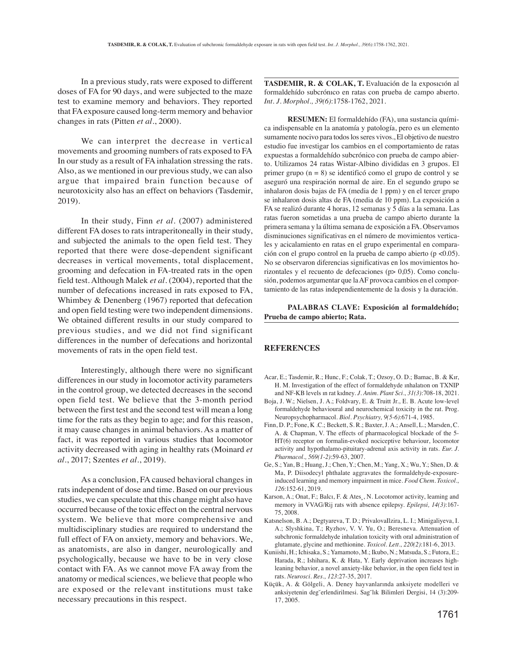In a previous study, rats were exposed to different doses of FA for 90 days, and were subjected to the maze test to examine memory and behaviors. They reported that FA exposure caused long-term memory and behavior changes in rats (Pitten *et al*., 2000).

We can interpret the decrease in vertical movements and grooming numbers of rats exposed to FA In our study as a result of FA inhalation stressing the rats. Also, as we mentioned in our previous study, we can also argue that impaired brain function because of neurotoxicity also has an effect on behaviors (Tasdemir, 2019).

In their study, Finn *et al*. (2007) administered different FA doses to rats intraperitoneally in their study, and subjected the animals to the open field test. They reported that there were dose-dependent significant decreases in vertical movements, total displacement, grooming and defecation in FA-treated rats in the open field test. Although Malek *et al*. (2004), reported that the number of defecations increased in rats exposed to FA, Whimbey & Denenberg (1967) reported that defecation and open field testing were two independent dimensions. We obtained different results in our study compared to previous studies, and we did not find significant differences in the number of defecations and horizontal movements of rats in the open field test.

Interestingly, although there were no significant differences in our study in locomotor activity parameters in the control group, we detected decreases in the second open field test. We believe that the 3-month period between the first test and the second test will mean a long time for the rats as they begin to age; and for this reason, it may cause changes in animal behaviors. As a matter of fact, it was reported in various studies that locomotor activity decreased with aging in healthy rats (Moinard *et al*., 2017; Szentes *et al*., 2019).

As a conclusion, FA caused behavioral changes in rats independent of dose and time. Based on our previous studies, we can speculate that this change might also have occurred because of the toxic effect on the central nervous system. We believe that more comprehensive and multidisciplinary studies are required to understand the full effect of FA on anxiety, memory and behaviors. We, as anatomists, are also in danger, neurologically and psychologically, because we have to be in very close contact with FA. As we cannot move FA away from the anatomy or medical sciences, we believe that people who are exposed or the relevant institutions must take necessary precautions in this respect.

TASDEMIR, R. & COLAK, T. Evaluación de la exposición al formaldehído subcrónıco en ratas con prueba de campo abıerto. *Int. J. Morphol., 39(6)*:1758-1762, 2021.

**RESUMEN:** El formaldehído (FA), una sustancia química indispensable en la anatomía y patología, pero es un elemento sumamente nocivo para todos los seres vivos., El objetivo de nuestro estudio fue investigar los cambios en el comportamiento de ratas expuestas a formaldehído subcrónico con prueba de campo abierto. Utilizamos 24 ratas Wistar-Albino divididas en 3 grupos. El primer grupo (n = 8) se identificó como el grupo de control y se aseguró una respiración normal de aire. En el segundo grupo se inhalaron dosis bajas de FA (media de 1 ppm) y en el tercer grupo se inhalaron dosis altas de FA (media de 10 ppm). La exposición a FA se realizó durante 4 horas, 12 semanas y 5 días a la semana. Las ratas fueron sometidas a una prueba de campo abierto durante la primera semana y la última semana de exposición a FA. Observamos disminuciones significativas en el número de movimientos verticales y acicalamiento en ratas en el grupo experimental en comparación con el grupo control en la prueba de campo abierto (p <0.05). No se observaron diferencias significativas en los movimientos horizontales y el recuento de defecaciones (p> 0,05). Como conclusión, podemos argumentar que la AF provoca cambios en el comportamiento de las ratas independientemente de la dosis y la duración.

**PALABRAS CLAVE: Exposición al formaldehído; Prueba de campo abierto; Rata.**

### **REFERENCES**

- Acar, E.; Tasdemir, R.; Hunc, F.; Colak, T.; Ozsoy, O. D.; Bamac, B. & Kır, H. M. Investigation of the effect of formaldehyde ınhalatıon on TXNIP and NF-KB levels ın rat kıdney. *J. Anim. Plant Sci., 31(3)*:708-18, 2021.
- Boja, J. W.; Nielsen, J. A.; Foldvary, E. & Truitt Jr., E. B. Acute low-level formaldehyde behavioural and neurochemical toxicity in the rat. Prog. Neuropsychopharmacol. *Biol. Psychiatry, 9(5-6)*:671-4, 1985.
- Finn, D. P.; Fone, K .C.; Beckett, S. R.; Baxter, J. A.; Ansell, L.; Marsden, C. A. & Chapman, V. The effects of pharmacological blockade of the 5- HT(6) receptor on formalin-evoked nociceptive behaviour, locomotor activity and hypothalamo-pituitary-adrenal axis activity in rats. *Eur. J. Pharmacol., 569(1-2)*:59-63, 2007.
- Ge, S.; Yan, B.; Huang, J.; Chen, Y.; Chen, M.; Yang, X.; Wu, Y.; Shen, D. & Ma, P. Diisodecyl phthalate aggravates the formaldehyde-exposureinduced learning and memory impairment in mice. *Food Chem. Toxicol., 126*:152-61, 2019.
- Karson, A.; Onat, F.; Balcı, F. & Ates¸, N. Locotomor activity, leaming and memory in VVAG/Rij rats with absence epilepsy. *Epilepsi, 14(3)*:167- 75, 2008.
- Katsnelson, B. A.; Degtyareva, T. D.; PrivalovaIlzira, L. I.; Minigaliyeva, I. A.; Slyshkina, T.; Ryzhov, V. V. Yu, O.; Beresneva. Attenuation of subchronic formaldehyde inhalation toxicity with oral administration of glutamate, glycine and methionine. *Toxicol. Lett., 220(2)*:181-6, 2013.
- Kuniishi, H.; Ichisaka, S.; Yamamoto, M.; Ikubo, N.; Matsuda, S.; Futora, E.; Harada, R.; Ishihara, K. & Hata, Y. Early deprivation increases highleaning behavior, a novel anxiety-like behavior, in the open field test in rats. *Neurosci. Res., 123*:27-35, 2017.
- Küçük, A. & Gölgeli, A. Deney hayvanlarında anksiyete modelleri ve anksiyetenin deg˘erlendirilmesi. Sag˘lık Bilimleri Dergisi, 14 (3):209- 17, 2005.